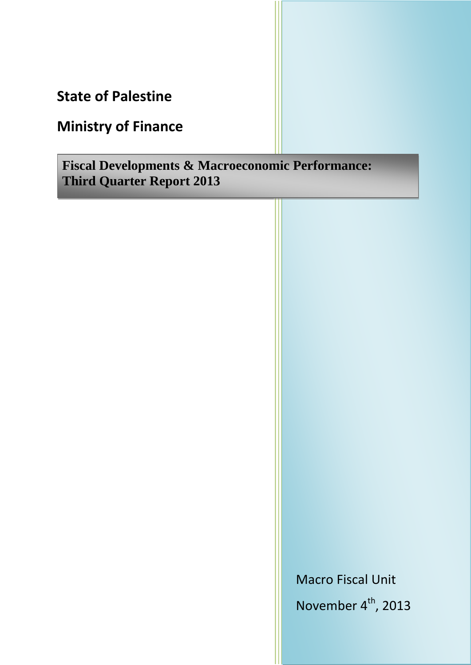**State of Palestine**

# **Ministry of Finance**

**Fiscal Developments & Macroeconomic Performance: Third Quarter Report 2013**

> Macro Fiscal Unit November 4<sup>th</sup>, 2013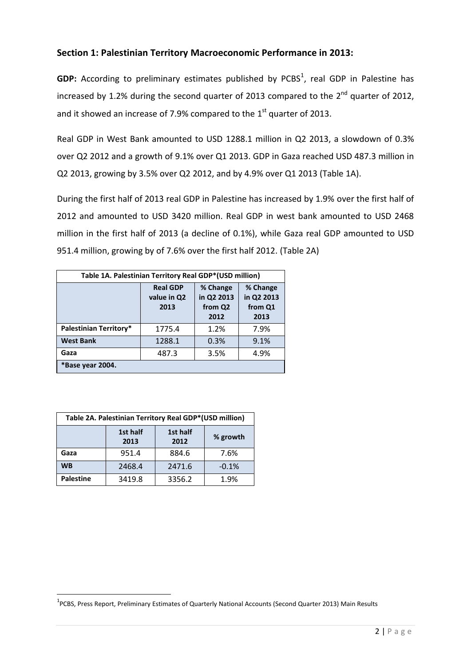## **Section 1: Palestinian Territory Macroeconomic Performance in 2013:**

GDP: According to preliminary estimates published by PCBS<sup>1</sup>, real GDP in Palestine has increased by 1.2% during the second quarter of 2013 compared to the  $2^{nd}$  quarter of 2012, and it showed an increase of 7.9% compared to the  $1<sup>st</sup>$  quarter of 2013.

Real GDP in West Bank amounted to USD 1288.1 million in Q2 2013, a slowdown of 0.3% over Q2 2012 and a growth of 9.1% over Q1 2013. GDP in Gaza reached USD 487.3 million in Q2 2013, growing by 3.5% over Q2 2012, and by 4.9% over Q1 2013 (Table 1A).

During the first half of 2013 real GDP in Palestine has increased by 1.9% over the first half of 2012 and amounted to USD 3420 million. Real GDP in west bank amounted to USD 2468 million in the first half of 2013 (a decline of 0.1%), while Gaza real GDP amounted to USD 951.4 million, growing by of 7.6% over the first half 2012. (Table 2A)

| Table 1A. Palestinian Territory Real GDP*(USD million) |                                        |                                           |                                           |  |
|--------------------------------------------------------|----------------------------------------|-------------------------------------------|-------------------------------------------|--|
|                                                        | <b>Real GDP</b><br>value in Q2<br>2013 | % Change<br>in Q2 2013<br>from Q2<br>2012 | % Change<br>in Q2 2013<br>from Q1<br>2013 |  |
| Palestinian Territory*                                 | 1775.4                                 | 1.2%                                      | 7.9%                                      |  |
| <b>West Bank</b>                                       | 1288.1                                 | 0.3%                                      | 9.1%                                      |  |
| Gaza                                                   | 487.3                                  | 3.5%                                      | 4.9%                                      |  |
| *Base year 2004.                                       |                                        |                                           |                                           |  |

| Table 2A. Palestinian Territory Real GDP*(USD million) |                                      |        |          |  |  |
|--------------------------------------------------------|--------------------------------------|--------|----------|--|--|
|                                                        | 1st half<br>1st half<br>2012<br>2013 |        | % growth |  |  |
| Gaza                                                   | 951.4                                | 884.6  | 7.6%     |  |  |
| <b>WB</b>                                              | 2468.4                               | 2471.6 | $-0.1%$  |  |  |
| <b>Palestine</b>                                       | 3419.8                               | 3356.2 | 1.9%     |  |  |

**.** 

<sup>&</sup>lt;sup>1</sup>PCBS, Press Report, Preliminary Estimates of Quarterly National Accounts (Second Quarter 2013) Main Results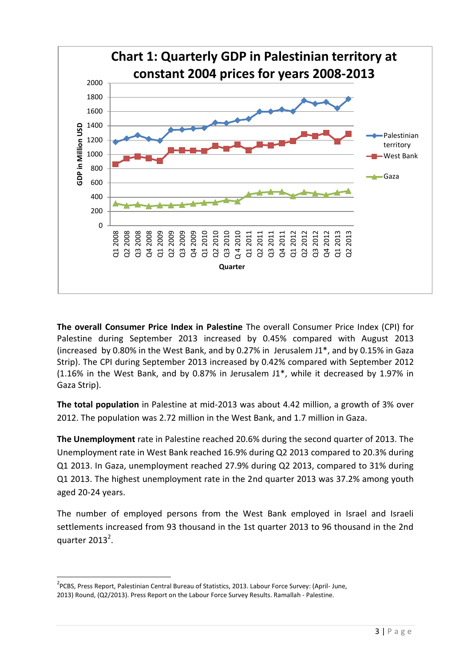

**The overall Consumer Price Index in Palestine** The overall Consumer Price Index (CPI) for Palestine during September 2013 increased by 0.45% compared with August 2013 (increased by 0.80% in the West Bank, and by 0.27% in Jerusalem J1\*, and by 0.15% in Gaza Strip). The CPI during September 2013 increased by 0.42% compared with September 2012 (1.16% in the West Bank, and by 0.87% in Jerusalem J1\*, while it decreased by 1.97% in Gaza Strip).

**The total population** in Palestine at mid-2013 was about 4.42 million, a growth of 3% over 2012. The population was 2.72 million in the West Bank, and 1.7 million in Gaza.

**The Unemployment** rate in Palestine reached 20.6% during the second quarter of 2013. The Unemployment rate in West Bank reached 16.9% during Q2 2013 compared to 20.3% during Q1 2013. In Gaza, unemployment reached 27.9% during Q2 2013, compared to 31% during Q1 2013. The highest unemployment rate in the 2nd quarter 2013 was 37.2% among youth aged 20-24 years.

The number of employed persons from the West Bank employed in Israel and Israeli settlements increased from 93 thousand in the 1st quarter 2013 to 96 thousand in the 2nd quarter  $2013^2$ .

 $\overline{a}$ 

<sup>&</sup>lt;sup>2</sup>PCBS, Press Report, Palestinian Central Bureau of Statistics, 2013. Labour Force Survey: (April- June, 2013) Round, (Q2/2013). Press Report on the Labour Force Survey Results. Ramallah - Palestine.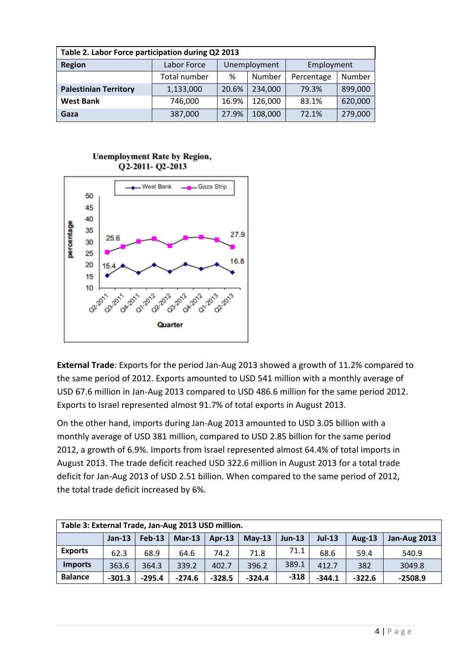| Table 2. Labor Force participation during Q2 2013 |              |              |         |            |         |  |
|---------------------------------------------------|--------------|--------------|---------|------------|---------|--|
| <b>Region</b>                                     | Labor Force  | Unemployment |         | Employment |         |  |
|                                                   | Total number | ℅            | Number  | Percentage | Number  |  |
| <b>Palestinian Territory</b>                      | 1,133,000    | 20.6%        | 234,000 | 79.3%      | 899,000 |  |
| <b>West Bank</b>                                  | 746,000      | 16.9%        | 126,000 | 83.1%      | 620,000 |  |
| Gaza                                              | 387,000      | 27.9%        | 108,000 | 72.1%      | 279,000 |  |

#### **Unemployment Rate by Region,** Q2-2011-Q2-2013



**External Trade**: Exports for the period Jan-Aug 2013 showed a growth of 11.2% compared to the same period of 2012. Exports amounted to USD 541 million with a monthly average of USD 67.6 million in Jan-Aug 2013 compared to USD 486.6 million for the same period 2012. Exports to Israel represented almost 91.7% of total exports in August 2013.

On the other hand, imports during Jan-Aug 2013 amounted to USD 3.05 billion with a monthly average of USD 381 million, compared to USD 2.85 billion for the same period 2012, a growth of 6.9%. Imports from Israel represented almost 64.4% of total imports in August 2013. The trade deficit reached USD 322.6 million in August 2013 for a total trade deficit for Jan-Aug 2013 of USD 2.51 billion. When compared to the same period of 2012, the total trade deficit increased by 6%.

| Table 3: External Trade, Jan-Aug 2013 USD million. |          |          |          |          |          |          |          |               |                     |
|----------------------------------------------------|----------|----------|----------|----------|----------|----------|----------|---------------|---------------------|
|                                                    | $Jan-13$ | $Feb-13$ | $Mar-13$ | $Apr-13$ | $May-13$ | $Jun-13$ | $Jul-13$ | <b>Aug-13</b> | <b>Jan-Aug 2013</b> |
| <b>Exports</b>                                     | 62.3     | 68.9     | 64.6     | 74.2     | 71.8     | 71.1     | 68.6     | 59.4          | 540.9               |
| <b>Imports</b>                                     | 363.6    | 364.3    | 339.2    | 402.7    | 396.2    | 389.1    | 412.7    | 382           | 3049.8              |
| <b>Balance</b>                                     | $-301.3$ | $-295.4$ | $-274.6$ | $-328.5$ | $-324.4$ | $-318$   | $-344.1$ | $-322.6$      | $-2508.9$           |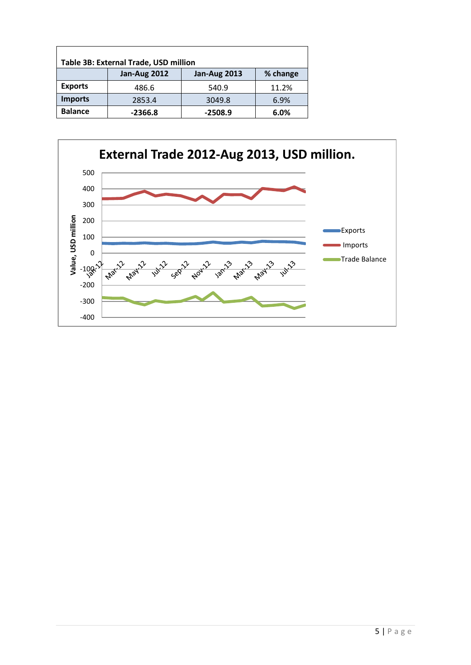| Table 3B: External Trade, USD million |                     |                     |          |  |  |
|---------------------------------------|---------------------|---------------------|----------|--|--|
|                                       | <b>Jan-Aug 2012</b> | <b>Jan-Aug 2013</b> | % change |  |  |
| <b>Exports</b>                        | 486.6               | 540.9               | 11.2%    |  |  |
| <b>Imports</b>                        | 2853.4              | 3049.8              | 6.9%     |  |  |
| <b>Balance</b>                        | $-2366.8$           | $-2508.9$           | 6.0%     |  |  |

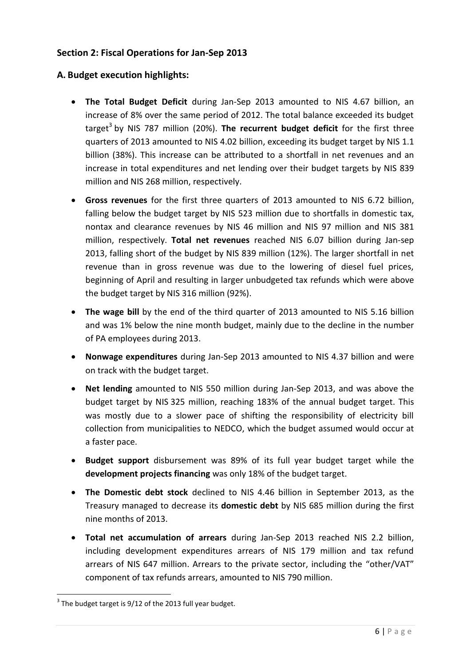# **Section 2: Fiscal Operations for Jan-Sep 2013**

# **A. Budget execution highlights:**

- **The Total Budget Deficit** during Jan-Sep 2013 amounted to NIS 4.67 billion, an increase of 8% over the same period of 2012. The total balance exceeded its budget target<sup>3</sup> by NIS 787 million (20%). The recurrent budget deficit for the first three quarters of 2013 amounted to NIS 4.02 billion, exceeding its budget target by NIS 1.1 billion (38%). This increase can be attributed to a shortfall in net revenues and an increase in total expenditures and net lending over their budget targets by NIS 839 million and NIS 268 million, respectively.
- **Gross revenues** for the first three quarters of 2013 amounted to NIS 6.72 billion, falling below the budget target by NIS 523 million due to shortfalls in domestic tax, nontax and clearance revenues by NIS 46 million and NIS 97 million and NIS 381 million, respectively. **Total net revenues** reached NIS 6.07 billion during Jan-sep 2013, falling short of the budget by NIS 839 million (12%). The larger shortfall in net revenue than in gross revenue was due to the lowering of diesel fuel prices, beginning of April and resulting in larger unbudgeted tax refunds which were above the budget target by NIS 316 million (92%).
- **The wage bill** by the end of the third quarter of 2013 amounted to NIS 5.16 billion and was 1% below the nine month budget, mainly due to the decline in the number of PA employees during 2013.
- **Nonwage expenditures** during Jan-Sep 2013 amounted to NIS 4.37 billion and were on track with the budget target.
- **Net lending** amounted to NIS 550 million during Jan-Sep 2013, and was above the budget target by NIS 325 million, reaching 183% of the annual budget target. This was mostly due to a slower pace of shifting the responsibility of electricity bill collection from municipalities to NEDCO, which the budget assumed would occur at a faster pace.
- **Budget support** disbursement was 89% of its full year budget target while the **development projects financing** was only 18% of the budget target.
- **The Domestic debt stock** declined to NIS 4.46 billion in September 2013, as the Treasury managed to decrease its **domestic debt** by NIS 685 million during the first nine months of 2013.
- **Total net accumulation of arrears** during Jan-Sep 2013 reached NIS 2.2 billion, including development expenditures arrears of NIS 179 million and tax refund arrears of NIS 647 million. Arrears to the private sector, including the "other/VAT" component of tax refunds arrears, amounted to NIS 790 million.

**.** 

 $3$  The budget target is 9/12 of the 2013 full year budget.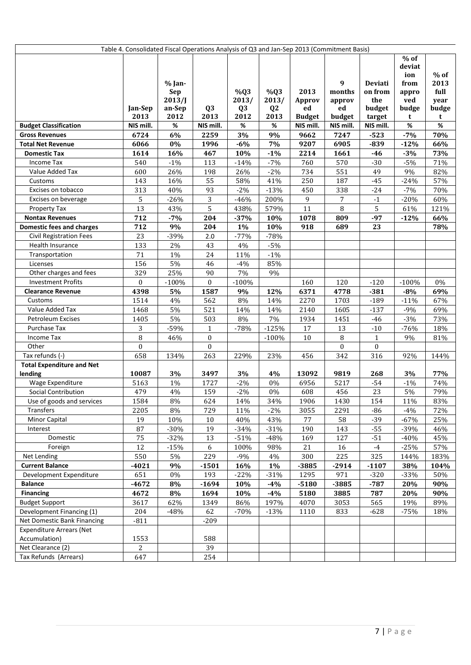| Table 4. Consolidated Fiscal Operations Analysis of Q3 and Jan-Sep 2013 (Commitment Basis) |                         |                                          |                  |                                |                    |                      |                             |                                     |                                                          |                                         |
|--------------------------------------------------------------------------------------------|-------------------------|------------------------------------------|------------------|--------------------------------|--------------------|----------------------|-----------------------------|-------------------------------------|----------------------------------------------------------|-----------------------------------------|
|                                                                                            | Jan-Sep                 | % Jan-<br><b>Sep</b><br>2013/J<br>an-Sep | Q <sub>3</sub>   | %Q3<br>2013/<br>Q <sub>3</sub> | %Q3<br>2013/<br>Q2 | 2013<br>Approv<br>ed | 9<br>months<br>approv<br>ed | Deviati<br>on from<br>the<br>budget | $%$ of<br>deviat<br>ion<br>from<br>appro<br>ved<br>budge | $%$ of<br>2013<br>full<br>year<br>budge |
|                                                                                            | 2013                    | 2012                                     | 2013             | 2012                           | 2013               | <b>Budget</b>        | budget                      | target                              | t                                                        | t                                       |
| <b>Budget Classification</b>                                                               | NIS mill.               | $\%$                                     | NIS mill.        | $\%$                           | $\%$               | NIS mill.            | NIS mill.                   | NIS mill.                           | $\%$                                                     | $\%$                                    |
| <b>Gross Revenues</b>                                                                      | 6724                    | 6%                                       | 2259             | $3\%$                          | 9%                 | 9662                 | 7247                        | $-523$                              | $-7%$                                                    | 70%                                     |
| <b>Total Net Revenue</b>                                                                   | 6066                    | $0\%$                                    | 1996             | $-6%$                          | $7\%$              | 9207                 | 6905                        | $-839$                              | $-12%$                                                   | 66%                                     |
| <b>Domestic Tax</b>                                                                        | 1614                    | 16%                                      | 467              | 10%                            | $-1%$              | 2214                 | 1661                        | $-46$                               | $-3%$                                                    | 73%                                     |
| Income Tax                                                                                 | 540                     | $-1\%$                                   | 113              | $-14%$                         | $-7%$              | 760                  | 570                         | $-30$                               | $-5%$                                                    | 71%                                     |
| Value Added Tax                                                                            | 600                     | 26%                                      | 198              | 26%                            | $-2%$              | 734                  | 551                         | 49                                  | 9%                                                       | 82%                                     |
| Customs                                                                                    | 143                     | 16%                                      | 55               | 58%                            | 41%                | 250                  | 187                         | $-45$                               | $-24%$                                                   | 57%                                     |
| Excises on tobacco                                                                         | 313                     | 40%                                      | 93               | $-2%$                          | $-13%$             | 450                  | 338                         | $-24$                               | $-7%$                                                    | 70%                                     |
| Excises on beverage                                                                        | 5                       | $-26%$                                   | 3                | $-46%$                         | 200%               | 9                    | $\overline{7}$              | $^{\mbox{-}}1$                      | $-20%$                                                   | 60%                                     |
| Property Tax                                                                               | 13                      | 43%                                      | 5                | 438%                           | 579%               | 11                   | $\, 8$                      | 5                                   | 61%                                                      | 121%                                    |
| <b>Nontax Revenues</b>                                                                     | 712                     | $-7%$                                    | 204              | $-37%$                         | 10%                | 1078                 | 809                         | $-97$                               | $-12%$                                                   | 66%                                     |
| <b>Domestic fees and charges</b>                                                           | 712                     | 9%                                       | 204              | 1%                             | 10%                | 918                  | 689                         | 23                                  |                                                          | 78%                                     |
| <b>Civil Registration Fees</b>                                                             | 23                      | $-39%$                                   | $2.0$            | $-77%$                         | $-78%$             |                      |                             |                                     |                                                          |                                         |
| Health Insurance                                                                           | 133                     | 2%                                       | 43               | 4%                             | $-5%$              |                      |                             |                                     |                                                          |                                         |
| Transportation                                                                             | 71                      | $1\%$                                    | 24               | 11%                            | $-1\%$             |                      |                             |                                     |                                                          |                                         |
| Licenses                                                                                   | 156                     | $5\%$                                    | 46               | $-4%$                          | 85%                |                      |                             |                                     |                                                          |                                         |
| Other charges and fees                                                                     | 329                     | 25%                                      | 90               | 7%                             | 9%                 |                      |                             |                                     |                                                          |                                         |
| <b>Investment Profits</b>                                                                  | $\boldsymbol{0}$        | $-100%$                                  | $\boldsymbol{0}$ | $-100%$                        |                    | 160                  | 120                         | $-120$                              | $-100%$                                                  | $0\%$                                   |
| <b>Clearance Revenue</b>                                                                   | 4398                    | $5\%$                                    | 1587             | 9%                             | 12%                | 6371                 | 4778                        | $-381$                              | $-8%$                                                    | 69%                                     |
| Customs                                                                                    | 1514                    | $4\%$                                    | 562              | 8%                             | 14%                | 2270                 | 1703                        | $-189$                              | $-11%$                                                   | 67%                                     |
| Value Added Tax                                                                            | 1468                    | 5%                                       | 521              | 14%                            | 14%                | 2140                 | 1605                        | $-137$                              | $-9%$                                                    | 69%                                     |
| Petroleum Excises                                                                          | 1405                    | 5%                                       | 503              | $8\%$                          | 7%                 | 1934                 | 1451                        | $-46$                               | $-3%$                                                    | 73%                                     |
| Purchase Tax                                                                               | 3                       | $-59%$                                   | $\mathbf{1}$     | $-78%$                         | $-125%$            | 17                   | 13                          | $-10$                               | $-76%$                                                   | 18%                                     |
| Income Tax                                                                                 | 8                       | 46%                                      | $\boldsymbol{0}$ |                                | $-100%$            | 10                   | 8                           | $\mathbf{1}$                        | 9%                                                       | 81%                                     |
| Other<br>Tax refunds (-)                                                                   | $\boldsymbol{0}$<br>658 |                                          | $\boldsymbol{0}$ |                                |                    |                      | $\overline{0}$              | $\boldsymbol{0}$                    |                                                          |                                         |
| <b>Total Expenditure and Net</b>                                                           |                         | 134%                                     | 263              | 229%                           | 23%                | 456                  | 342                         | 316                                 | 92%                                                      | 144%                                    |
| lending                                                                                    | 10087                   | 3%                                       | 3497             | 3%                             | 4%                 | 13092                | 9819                        | 268                                 | 3%                                                       | 77%                                     |
| Wage Expenditure                                                                           | 5163                    | $1\%$                                    | 1727             | $-2%$                          | 0%                 | 6956                 | 5217                        | $-54$                               | $-1%$                                                    | 74%                                     |
| Social Contribution                                                                        | 479                     | $4\%$                                    | 159              | $-2%$                          | $0\%$              | 608                  | 456                         | 23                                  | 5%                                                       | 79%                                     |
| Use of goods and services                                                                  | 1584                    | 8%                                       | 624              | 14%                            | 34%                | 1906                 | 1430                        | 154                                 | 11%                                                      | 83%                                     |
| Transfers                                                                                  | 2205                    | $8\%$                                    | 729              | 11%                            | $-2%$              | 3055                 | 2291                        | $-86$                               | $-4%$                                                    | 72%                                     |
| Minor Capital                                                                              | 19                      | 10%                                      | $10\,$           | 40%                            | 43%                | 77                   | 58                          | $-39$                               | $-67%$                                                   | 25%                                     |
| Interest                                                                                   | 87                      | $-30%$                                   | 19               | $-34%$                         | $-31%$             | 190                  | 143                         | $-55$                               | $-39%$                                                   | 46%                                     |
| Domestic                                                                                   | 75                      | $-32%$                                   | 13               | $-51%$                         | $-48%$             | 169                  | 127                         | $-51$                               | $-40%$                                                   | 45%                                     |
| Foreign                                                                                    | $\overline{12}$         | $-15%$                                   | $6\phantom{.}6$  | 100%                           | 98%                | 21                   | 16                          | $^{\rm -4}$                         | $-25%$                                                   | 57%                                     |
| Net Lending                                                                                | 550                     | $5\%$                                    | 229              | $-9%$                          | 4%                 | 300                  | 225                         | 325                                 | 144%                                                     | 183%                                    |
| <b>Current Balance</b>                                                                     | $-4021$                 | 9%                                       | $-1501$          | 16%                            | 1%                 | $-3885$              | $-2914$                     | $-1107$                             | 38%                                                      | 104%                                    |
| Development Expenditure                                                                    | 651                     | $0\%$                                    | 193              | $-22%$                         | $-31%$             | 1295                 | 971                         | $-320$                              | $-33%$                                                   | 50%                                     |
| <b>Balance</b>                                                                             | $-4672$                 | $8\%$                                    | $-1694$          | 10%                            | $-4%$              | $-5180$              | -3885                       | $-787$                              | 20%                                                      | 90%                                     |
| <b>Financing</b>                                                                           | 4672                    | $8\%$                                    | 1694             | 10%                            | $-4%$              | 5180                 | 3885                        | 787                                 | 20%                                                      | 90%                                     |
| <b>Budget Support</b>                                                                      | 3617                    | 62%                                      | 1349             | 86%                            | 197%               | 4070                 | 3053                        | 565                                 | 19%                                                      | 89%                                     |
| Development Financing (1)                                                                  | 204                     | $-48%$                                   | 62               | $-70%$                         | $-13%$             | 1110                 | 833                         | $-628$                              | $-75%$                                                   | 18%                                     |
| Net Domestic Bank Financing                                                                | $-811$                  |                                          | $-209$           |                                |                    |                      |                             |                                     |                                                          |                                         |
| <b>Expenditure Arrears (Net</b>                                                            |                         |                                          |                  |                                |                    |                      |                             |                                     |                                                          |                                         |
| Accumulation)                                                                              | 1553                    |                                          | 588              |                                |                    |                      |                             |                                     |                                                          |                                         |
| Net Clearance (2)                                                                          | $\overline{c}$          |                                          | 39               |                                |                    |                      |                             |                                     |                                                          |                                         |
| Tax Refunds (Arrears)                                                                      | 647                     |                                          | 254              |                                |                    |                      |                             |                                     |                                                          |                                         |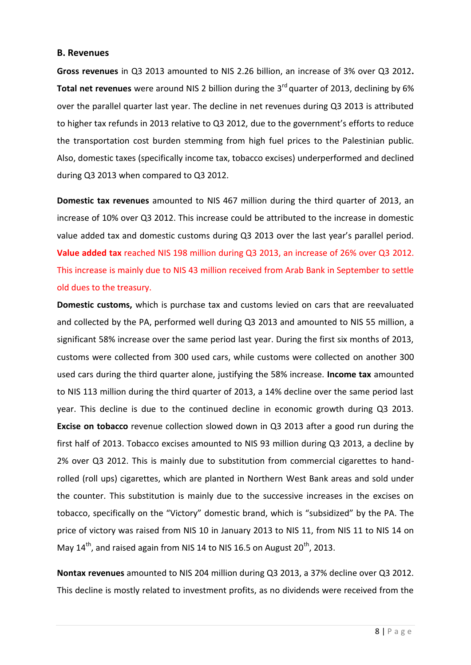#### **B. Revenues**

**Gross revenues** in Q3 2013 amounted to NIS 2.26 billion, an increase of 3% over Q3 2012**.**  Total net revenues were around NIS 2 billion during the 3<sup>rd</sup> quarter of 2013, declining by 6% over the parallel quarter last year. The decline in net revenues during Q3 2013 is attributed to higher tax refunds in 2013 relative to Q3 2012, due to the government's efforts to reduce the transportation cost burden stemming from high fuel prices to the Palestinian public. Also, domestic taxes (specifically income tax, tobacco excises) underperformed and declined during Q3 2013 when compared to Q3 2012.

**Domestic tax revenues** amounted to NIS 467 million during the third quarter of 2013, an increase of 10% over Q3 2012. This increase could be attributed to the increase in domestic value added tax and domestic customs during Q3 2013 over the last year's parallel period. **Value added tax** reached NIS 198 million during Q3 2013, an increase of 26% over Q3 2012. This increase is mainly due to NIS 43 million received from Arab Bank in September to settle old dues to the treasury.

**Domestic customs,** which is purchase tax and customs levied on cars that are reevaluated and collected by the PA, performed well during Q3 2013 and amounted to NIS 55 million, a significant 58% increase over the same period last year. During the first six months of 2013, customs were collected from 300 used cars, while customs were collected on another 300 used cars during the third quarter alone, justifying the 58% increase. **Income tax** amounted to NIS 113 million during the third quarter of 2013, a 14% decline over the same period last year. This decline is due to the continued decline in economic growth during Q3 2013. **Excise on tobacco** revenue collection slowed down in Q3 2013 after a good run during the first half of 2013. Tobacco excises amounted to NIS 93 million during Q3 2013, a decline by 2% over Q3 2012. This is mainly due to substitution from commercial cigarettes to handrolled (roll ups) cigarettes, which are planted in Northern West Bank areas and sold under the counter. This substitution is mainly due to the successive increases in the excises on tobacco, specifically on the "Victory" domestic brand, which is "subsidized" by the PA. The price of victory was raised from NIS 10 in January 2013 to NIS 11, from NIS 11 to NIS 14 on May  $14<sup>th</sup>$ , and raised again from NIS 14 to NIS 16.5 on August 20<sup>th</sup>, 2013.

**Nontax revenues** amounted to NIS 204 million during Q3 2013, a 37% decline over Q3 2012. This decline is mostly related to investment profits, as no dividends were received from the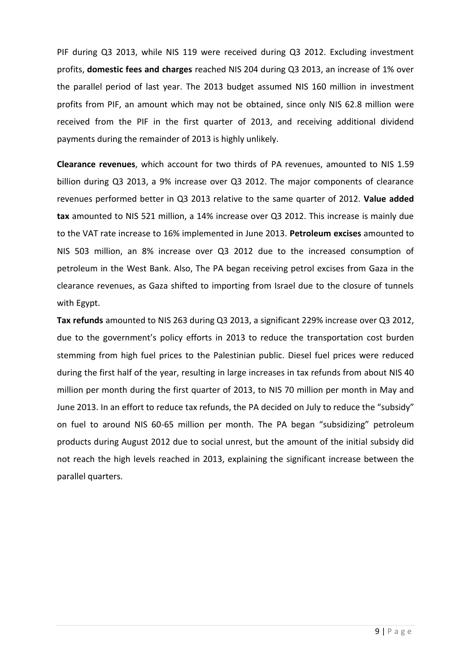PIF during Q3 2013, while NIS 119 were received during Q3 2012. Excluding investment profits, **domestic fees and charges** reached NIS 204 during Q3 2013, an increase of 1% over the parallel period of last year. The 2013 budget assumed NIS 160 million in investment profits from PIF, an amount which may not be obtained, since only NIS 62.8 million were received from the PIF in the first quarter of 2013, and receiving additional dividend payments during the remainder of 2013 is highly unlikely.

**Clearance revenues**, which account for two thirds of PA revenues, amounted to NIS 1.59 billion during Q3 2013, a 9% increase over Q3 2012. The major components of clearance revenues performed better in Q3 2013 relative to the same quarter of 2012. **Value added tax** amounted to NIS 521 million, a 14% increase over Q3 2012. This increase is mainly due to the VAT rate increase to 16% implemented in June 2013. **Petroleum excises** amounted to NIS 503 million, an 8% increase over Q3 2012 due to the increased consumption of petroleum in the West Bank. Also, The PA began receiving petrol excises from Gaza in the clearance revenues, as Gaza shifted to importing from Israel due to the closure of tunnels with Egypt.

**Tax refunds** amounted to NIS 263 during Q3 2013, a significant 229% increase over Q3 2012, due to the government's policy efforts in 2013 to reduce the transportation cost burden stemming from high fuel prices to the Palestinian public. Diesel fuel prices were reduced during the first half of the year, resulting in large increases in tax refunds from about NIS 40 million per month during the first quarter of 2013, to NIS 70 million per month in May and June 2013. In an effort to reduce tax refunds, the PA decided on July to reduce the "subsidy" on fuel to around NIS 60-65 million per month. The PA began "subsidizing" petroleum products during August 2012 due to social unrest, but the amount of the initial subsidy did not reach the high levels reached in 2013, explaining the significant increase between the parallel quarters.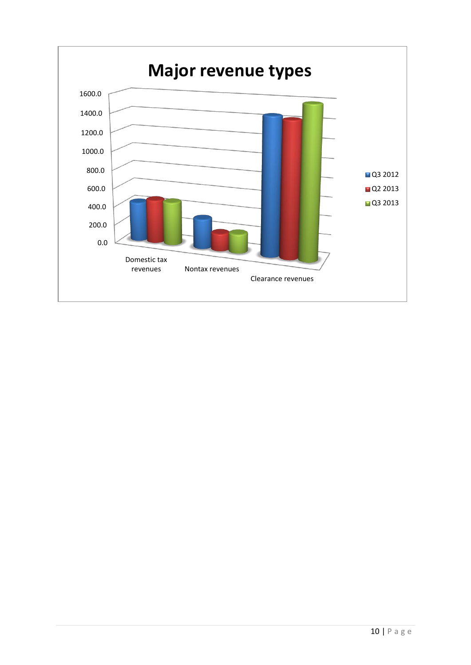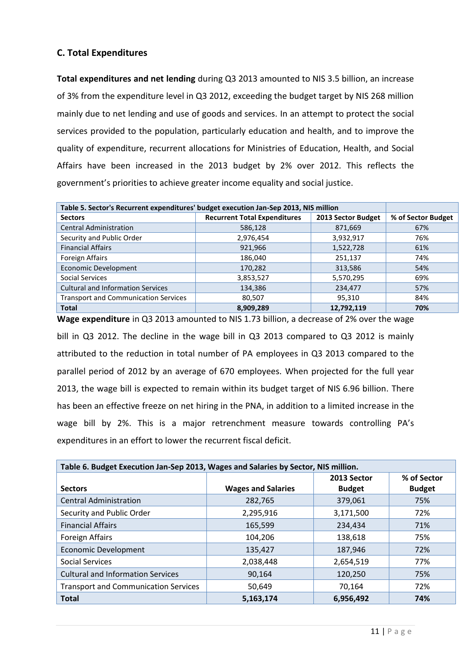# **C. Total Expenditures**

**Total expenditures and net lending** during Q3 2013 amounted to NIS 3.5 billion, an increase of 3% from the expenditure level in Q3 2012, exceeding the budget target by NIS 268 million mainly due to net lending and use of goods and services. In an attempt to protect the social services provided to the population, particularly education and health, and to improve the quality of expenditure, recurrent allocations for Ministries of Education, Health, and Social Affairs have been increased in the 2013 budget by 2% over 2012. This reflects the government's priorities to achieve greater income equality and social justice.

| Table 5. Sector's Recurrent expenditures' budget execution Jan-Sep 2013, NIS million |                                     |                    |                    |
|--------------------------------------------------------------------------------------|-------------------------------------|--------------------|--------------------|
| <b>Sectors</b>                                                                       | <b>Recurrent Total Expenditures</b> | 2013 Sector Budget | % of Sector Budget |
| <b>Central Administration</b>                                                        | 586,128                             | 871,669            | 67%                |
| Security and Public Order                                                            | 2,976,454                           | 3,932,917          | 76%                |
| <b>Financial Affairs</b>                                                             | 921,966                             | 1,522,728          | 61%                |
| Foreign Affairs                                                                      | 186,040                             | 251,137            | 74%                |
| <b>Economic Development</b>                                                          | 170,282                             | 313,586            | 54%                |
| Social Services                                                                      | 3,853,527                           | 5,570,295          | 69%                |
| <b>Cultural and Information Services</b>                                             | 134,386                             | 234,477            | 57%                |
| <b>Transport and Communication Services</b>                                          | 80,507                              | 95,310             | 84%                |
| <b>Total</b>                                                                         | 8,909,289                           | 12,792,119         | 70%                |

**Wage expenditure** in Q3 2013 amounted to NIS 1.73 billion, a decrease of 2% over the wage bill in Q3 2012. The decline in the wage bill in Q3 2013 compared to Q3 2012 is mainly attributed to the reduction in total number of PA employees in Q3 2013 compared to the parallel period of 2012 by an average of 670 employees. When projected for the full year 2013, the wage bill is expected to remain within its budget target of NIS 6.96 billion. There has been an effective freeze on net hiring in the PNA, in addition to a limited increase in the wage bill by 2%. This is a major retrenchment measure towards controlling PA's expenditures in an effort to lower the recurrent fiscal deficit.

| Table 6. Budget Execution Jan-Sep 2013, Wages and Salaries by Sector, NIS million. |                           |               |               |  |  |
|------------------------------------------------------------------------------------|---------------------------|---------------|---------------|--|--|
|                                                                                    |                           | 2013 Sector   | % of Sector   |  |  |
| <b>Sectors</b>                                                                     | <b>Wages and Salaries</b> | <b>Budget</b> | <b>Budget</b> |  |  |
| <b>Central Administration</b>                                                      | 282,765                   | 379,061       | 75%           |  |  |
| Security and Public Order                                                          | 2,295,916                 | 3,171,500     | 72%           |  |  |
| <b>Financial Affairs</b>                                                           | 165,599                   | 234,434       | 71%           |  |  |
| <b>Foreign Affairs</b>                                                             | 104,206                   | 138,618       | 75%           |  |  |
| <b>Economic Development</b>                                                        | 135,427                   | 187,946       | 72%           |  |  |
| <b>Social Services</b>                                                             | 2,038,448                 | 2,654,519     | 77%           |  |  |
| <b>Cultural and Information Services</b>                                           | 90,164                    | 120,250       | 75%           |  |  |
| <b>Transport and Communication Services</b>                                        | 50,649                    | 70,164        | 72%           |  |  |
| <b>Total</b>                                                                       | 5,163,174                 | 6,956,492     | 74%           |  |  |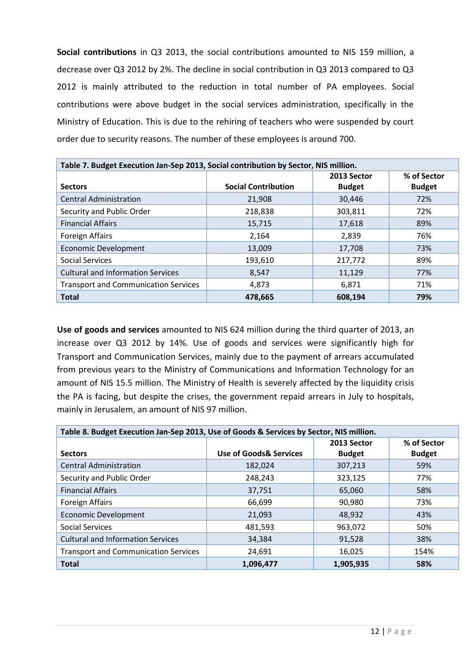**Social contributions** in Q3 2013, the social contributions amounted to NIS 159 million, a decrease over Q3 2012 by 2%. The decline in social contribution in Q3 2013 compared to Q3 2012 is mainly attributed to the reduction in total number of PA employees. Social contributions were above budget in the social services administration, specifically in the Ministry of Education. This is due to the rehiring of teachers who were suspended by court order due to security reasons. The number of these employees is around 700.

| Table 7. Budget Execution Jan-Sep 2013, Social contribution by Sector, NIS million. |                            |               |               |  |  |  |
|-------------------------------------------------------------------------------------|----------------------------|---------------|---------------|--|--|--|
|                                                                                     |                            | 2013 Sector   | % of Sector   |  |  |  |
| <b>Sectors</b>                                                                      | <b>Social Contribution</b> | <b>Budget</b> | <b>Budget</b> |  |  |  |
| <b>Central Administration</b>                                                       | 21,908                     | 30,446        | 72%           |  |  |  |
| Security and Public Order                                                           | 218,838                    | 303,811       | 72%           |  |  |  |
| <b>Financial Affairs</b>                                                            | 15,715                     | 17,618        | 89%           |  |  |  |
| Foreign Affairs                                                                     | 2,164                      | 2,839         | 76%           |  |  |  |
| <b>Economic Development</b>                                                         | 13,009                     | 17,708        | 73%           |  |  |  |
| Social Services                                                                     | 193,610                    | 217,772       | 89%           |  |  |  |
| <b>Cultural and Information Services</b>                                            | 8,547                      | 11,129        | 77%           |  |  |  |
| <b>Transport and Communication Services</b>                                         | 4,873                      | 6,871         | 71%           |  |  |  |
| <b>Total</b>                                                                        | 478,665                    | 608,194       | 79%           |  |  |  |

**Use of goods and services** amounted to NIS 624 million during the third quarter of 2013, an increase over Q3 2012 by 14%. Use of goods and services were significantly high for Transport and Communication Services, mainly due to the payment of arrears accumulated from previous years to the Ministry of Communications and Information Technology for an amount of NIS 15.5 million. The Ministry of Health is severely affected by the liquidity crisis the PA is facing, but despite the crises, the government repaid arrears in July to hospitals, mainly in Jerusalem, an amount of NIS 97 million.

| Table 8. Budget Execution Jan-Sep 2013, Use of Goods & Services by Sector, NIS million. |                                   |               |               |  |  |
|-----------------------------------------------------------------------------------------|-----------------------------------|---------------|---------------|--|--|
|                                                                                         |                                   | 2013 Sector   | % of Sector   |  |  |
| <b>Sectors</b>                                                                          | <b>Use of Goods&amp; Services</b> | <b>Budget</b> | <b>Budget</b> |  |  |
| <b>Central Administration</b>                                                           | 182,024                           | 307,213       | 59%           |  |  |
| Security and Public Order                                                               | 248,243                           | 323,125       | 77%           |  |  |
| <b>Financial Affairs</b>                                                                | 37,751                            | 65,060        | 58%           |  |  |
| <b>Foreign Affairs</b>                                                                  | 66,699                            | 90,980        | 73%           |  |  |
| <b>Economic Development</b>                                                             | 21,093                            | 48,932        | 43%           |  |  |
| Social Services                                                                         | 481,593                           | 963,072       | 50%           |  |  |
| <b>Cultural and Information Services</b>                                                | 34,384                            | 91,528        | 38%           |  |  |
| <b>Transport and Communication Services</b>                                             | 24,691                            | 16,025        | 154%          |  |  |
| <b>Total</b>                                                                            | 1,096,477                         | 1,905,935     | 58%           |  |  |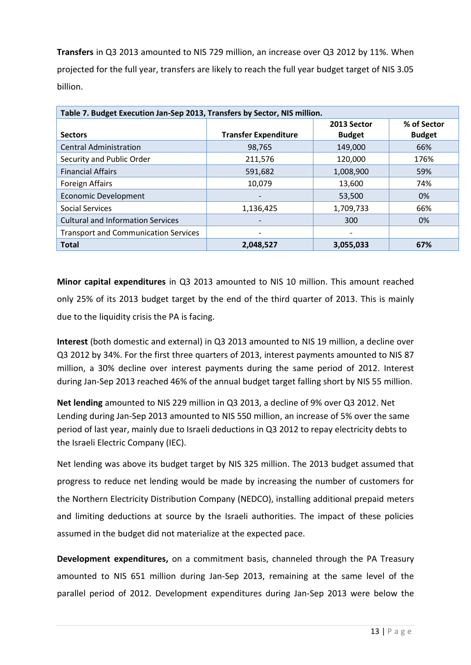**Transfers** in Q3 2013 amounted to NIS 729 million, an increase over Q3 2012 by 11%. When projected for the full year, transfers are likely to reach the full year budget target of NIS 3.05 billion.

| Table 7. Budget Execution Jan-Sep 2013, Transfers by Sector, NIS million. |                             |                          |               |  |  |
|---------------------------------------------------------------------------|-----------------------------|--------------------------|---------------|--|--|
|                                                                           |                             | 2013 Sector              | % of Sector   |  |  |
| <b>Sectors</b>                                                            | <b>Transfer Expenditure</b> | <b>Budget</b>            | <b>Budget</b> |  |  |
| <b>Central Administration</b>                                             | 98,765                      | 149,000                  | 66%           |  |  |
| Security and Public Order                                                 | 211,576                     | 120,000                  | 176%          |  |  |
| <b>Financial Affairs</b>                                                  | 591,682                     | 1,008,900                | 59%           |  |  |
| <b>Foreign Affairs</b>                                                    | 10.079                      | 13.600                   | 74%           |  |  |
| <b>Economic Development</b>                                               | $\overline{\phantom{0}}$    | 53,500                   | 0%            |  |  |
| <b>Social Services</b>                                                    | 1,136,425                   | 1,709,733                | 66%           |  |  |
| <b>Cultural and Information Services</b>                                  |                             | 300                      | 0%            |  |  |
| <b>Transport and Communication Services</b>                               | -                           | $\overline{\phantom{a}}$ |               |  |  |
| <b>Total</b>                                                              | 2,048,527                   | 3,055,033                | 67%           |  |  |

**Minor capital expenditures** in Q3 2013 amounted to NIS 10 million. This amount reached only 25% of its 2013 budget target by the end of the third quarter of 2013. This is mainly due to the liquidity crisis the PA is facing.

**Interest** (both domestic and external) in Q3 2013 amounted to NIS 19 million, a decline over Q3 2012 by 34%. For the first three quarters of 2013, interest payments amounted to NIS 87 million, a 30% decline over interest payments during the same period of 2012. Interest during Jan-Sep 2013 reached 46% of the annual budget target falling short by NIS 55 million.

**Net lending** amounted to NIS 229 million in Q3 2013, a decline of 9% over Q3 2012. Net Lending during Jan-Sep 2013 amounted to NIS 550 million, an increase of 5% over the same period of last year, mainly due to Israeli deductions in Q3 2012 to repay electricity debts to the Israeli Electric Company (IEC).

Net lending was above its budget target by NIS 325 million. The 2013 budget assumed that progress to reduce net lending would be made by increasing the number of customers for the Northern Electricity Distribution Company (NEDCO), installing additional prepaid meters and limiting deductions at source by the Israeli authorities. The impact of these policies assumed in the budget did not materialize at the expected pace.

**Development expenditures,** on a commitment basis, channeled through the PA Treasury amounted to NIS 651 million during Jan-Sep 2013, remaining at the same level of the parallel period of 2012. Development expenditures during Jan-Sep 2013 were below the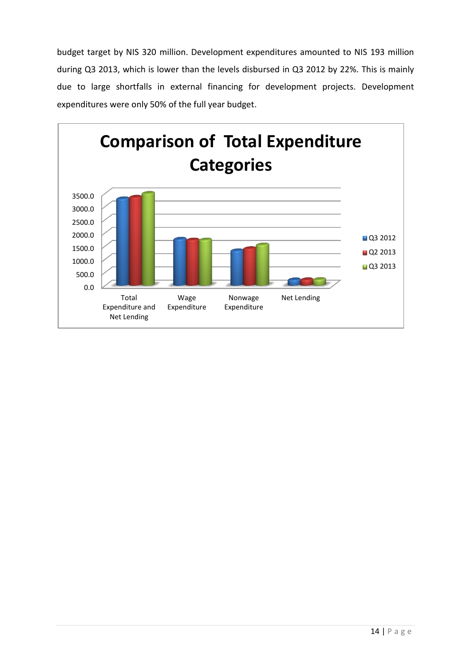budget target by NIS 320 million. Development expenditures amounted to NIS 193 million during Q3 2013, which is lower than the levels disbursed in Q3 2012 by 22%. This is mainly due to large shortfalls in external financing for development projects. Development expenditures were only 50% of the full year budget.

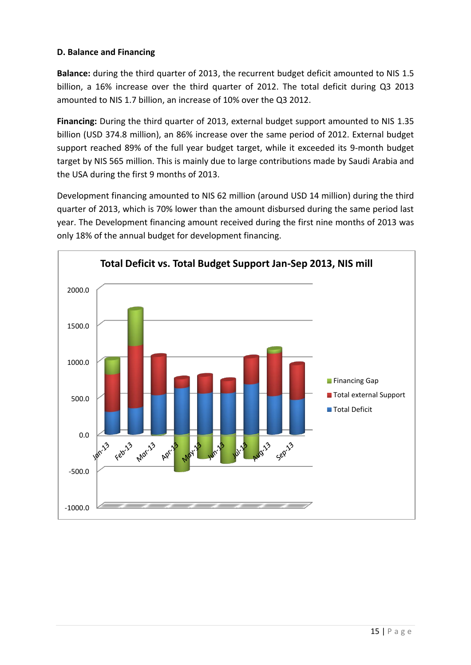## **D. Balance and Financing**

**Balance:** during the third quarter of 2013, the recurrent budget deficit amounted to NIS 1.5 billion, a 16% increase over the third quarter of 2012. The total deficit during Q3 2013 amounted to NIS 1.7 billion, an increase of 10% over the Q3 2012.

**Financing:** During the third quarter of 2013, external budget support amounted to NIS 1.35 billion (USD 374.8 million), an 86% increase over the same period of 2012. External budget support reached 89% of the full year budget target, while it exceeded its 9-month budget target by NIS 565 million. This is mainly due to large contributions made by Saudi Arabia and the USA during the first 9 months of 2013.

Development financing amounted to NIS 62 million (around USD 14 million) during the third quarter of 2013, which is 70% lower than the amount disbursed during the same period last year. The Development financing amount received during the first nine months of 2013 was only 18% of the annual budget for development financing.